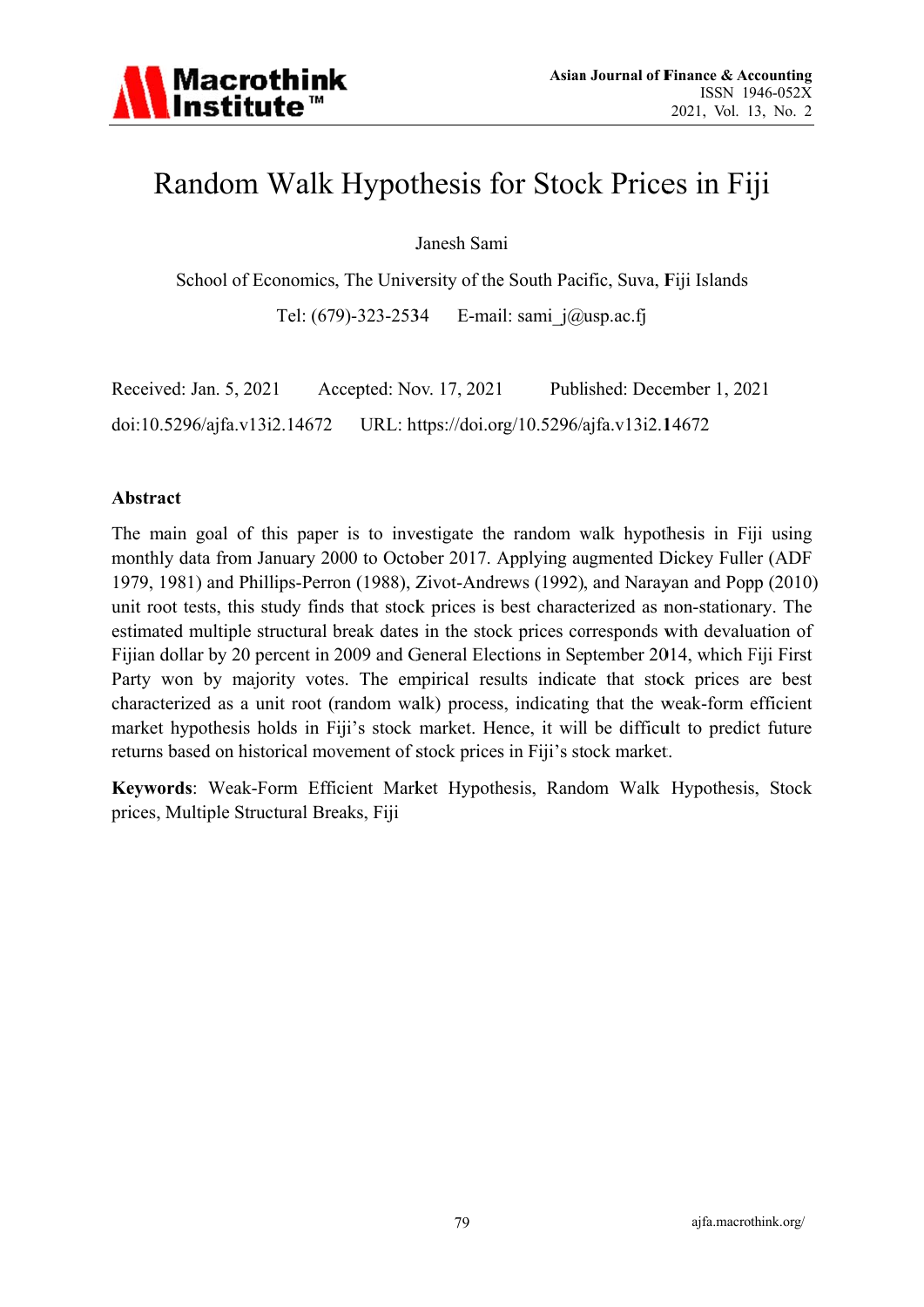

# Random Walk Hypothesis for Stock Prices in Fiji

Janesh Sami

School of Economics, The University of the South Pacific, Suva, Fiji Islands Tel: (679)-323-2534 E-mail: sami  $i(\partial \mu)$ usp.ac.fi

Received: Jan. 5, 2021 Accepted: Nov. 17, 2021 Published: December 1, 2021 doi:10.5296/ajfa.v13i2.14672 URL: https://doi.org/10.5296/ajfa.v13i2.14672

#### Abstract

The main goal of this paper is to investigate the random walk hypothesis in Fiji using monthly data from January 2000 to October 2017. Applying augmented Dickey Fuller (ADF 1979, 1981) and Phillips-Perron (1988), Zivot-Andrews (1992), and Narayan and Popp (2010) unit root tests, this study finds that stock prices is best characterized as non-stationary. The estimated multiple structural break dates in the stock prices corresponds with devaluation of Fijian dollar by 20 percent in 2009 and General Elections in September 2014, which Fiji First Party won by majority votes. The empirical results indicate that stock prices are best characterized as a unit root (random walk) process, indicating that the weak-form efficient market hypothesis holds in Fiji's stock market. Hence, it will be difficult to predict future returns based on historical movement of stock prices in Fiji's stock market.

Keywords: Weak-Form Efficient Market Hypothesis, Random Walk Hypothesis, Stock prices, Multiple Structural Breaks, Fiji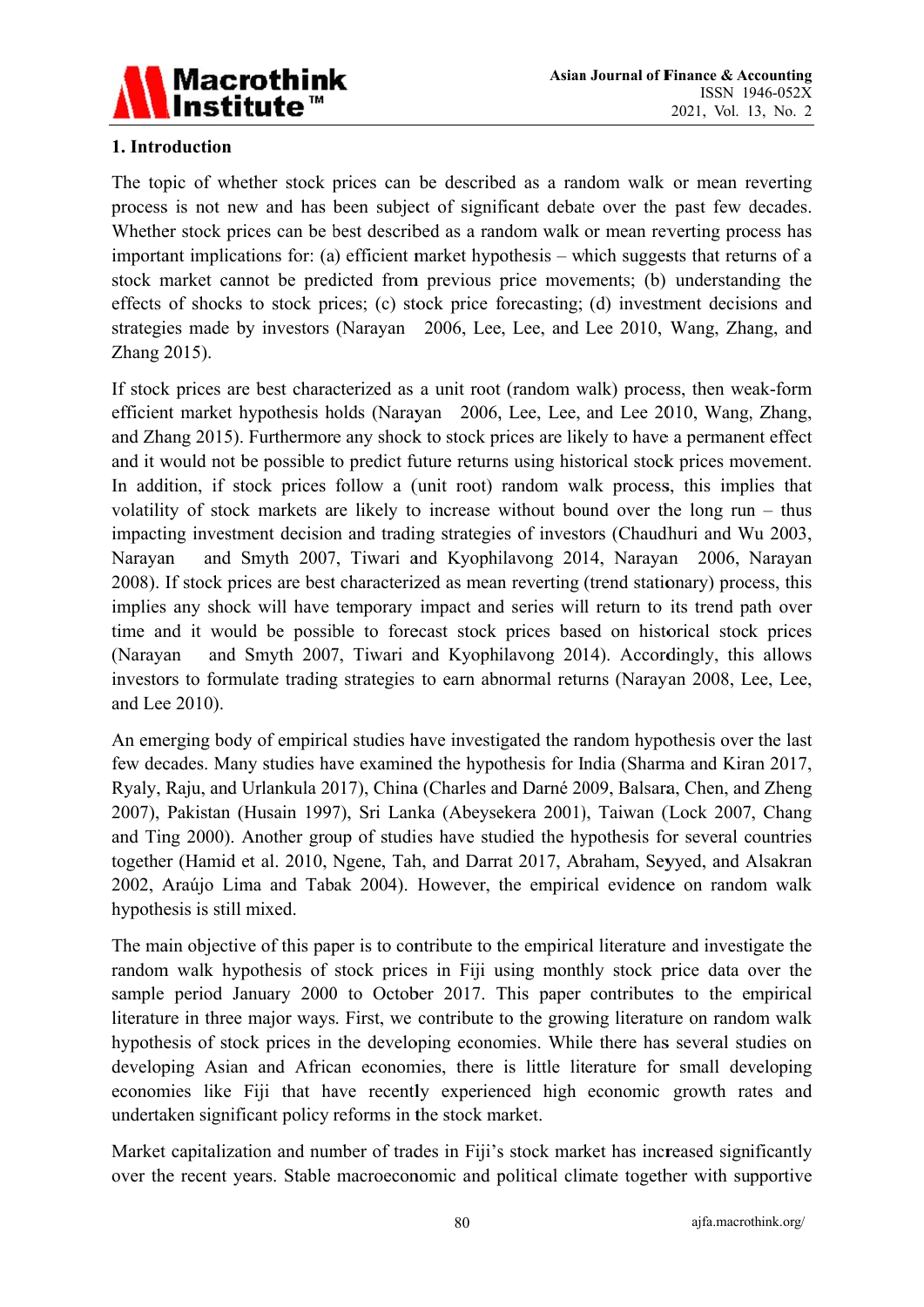

## 1. Introduction

The topic of whether stock prices can be described as a random walk or mean reverting process is not new and has been subject of significant debate over the past few decades. Whether stock prices can be best described as a random walk or mean reverting process has important implications for: (a) efficient market hypothesis – which suggests that returns of a stock market cannot be predicted from previous price movements; (b) understanding the effects of shocks to stock prices; (c) stock price forecasting; (d) investment decisions and strategies made by investors (Narayan 2006, Lee, Lee, and Lee 2010, Wang, Zhang, and Zhang 2015).

If stock prices are best characterized as a unit root (random walk) process, then weak-form efficient market hypothesis holds (Narayan 2006, Lee, Lee, and Lee 2010, Wang, Zhang, and Zhang 2015). Furthermore any shock to stock prices are likely to have a permanent effect and it would not be possible to predict future returns using historical stock prices movement. In addition, if stock prices follow a (unit root) random walk process, this implies that volatility of stock markets are likely to increase without bound over the long run – thus impacting investment decision and trading strategies of investors (Chaudhuri and Wu 2003, and Smyth 2007, Tiwari and Kyophilavong 2014, Narayan 2006, Narayan Narayan 2008). If stock prices are best characterized as mean reverting (trend stationary) process, this implies any shock will have temporary impact and series will return to its trend path over time and it would be possible to forecast stock prices based on historical stock prices and Smyth 2007, Tiwari and Kyophilavong 2014). Accordingly, this allows (Narayan investors to formulate trading strategies to earn abnormal returns (Narayan 2008, Lee, Lee, and Lee 2010).

An emerging body of empirical studies have investigated the random hypothesis over the last few decades. Many studies have examined the hypothesis for India (Sharma and Kiran 2017, Ryaly, Raju, and Urlankula 2017), China (Charles and Darné 2009, Balsara, Chen, and Zheng 2007), Pakistan (Husain 1997), Sri Lanka (Abeysekera 2001), Taiwan (Lock 2007, Chang and Ting 2000). Another group of studies have studied the hypothesis for several countries together (Hamid et al. 2010, Ngene, Tah, and Darrat 2017, Abraham, Seyyed, and Alsakran 2002, Araújo Lima and Tabak 2004). However, the empirical evidence on random walk hypothesis is still mixed.

The main objective of this paper is to contribute to the empirical literature and investigate the random walk hypothesis of stock prices in Fiji using monthly stock price data over the sample period January 2000 to October 2017. This paper contributes to the empirical literature in three major ways. First, we contribute to the growing literature on random walk hypothesis of stock prices in the developing economies. While there has several studies on developing Asian and African economies, there is little literature for small developing economies like Fiji that have recently experienced high economic growth rates and undertaken significant policy reforms in the stock market.

Market capitalization and number of trades in Fiji's stock market has increased significantly over the recent years. Stable macroeconomic and political climate together with supportive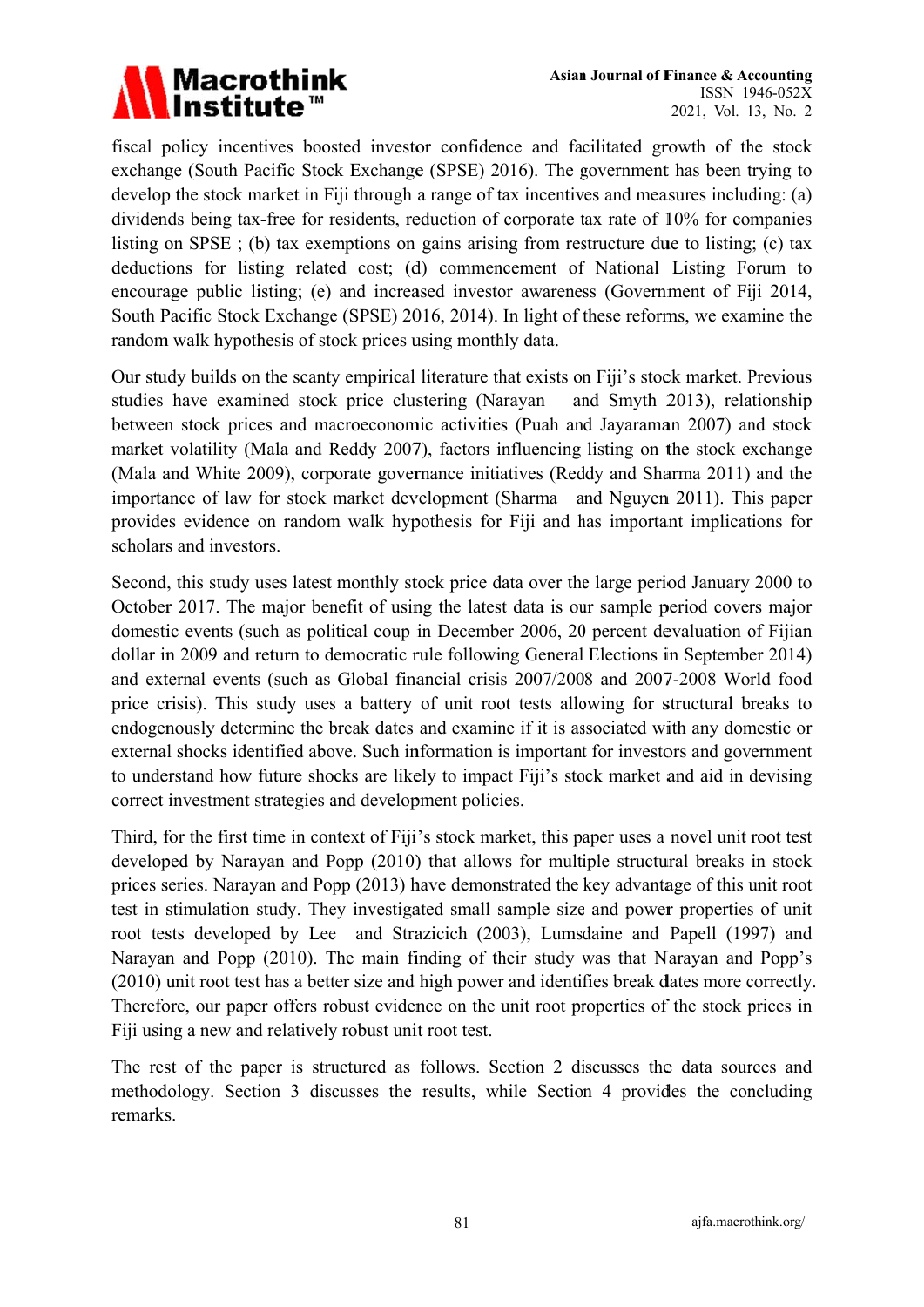

fiscal policy incentives boosted investor confidence and facilitated growth of the stock exchange (South Pacific Stock Exchange (SPSE) 2016). The government has been trying to develop the stock market in Fiji through a range of tax incentives and measures including: (a) dividends being tax-free for residents, reduction of corporate tax rate of 10% for companies listing on SPSE; (b) tax exemptions on gains arising from restructure due to listing; (c) tax deductions for listing related cost; (d) commencement of National Listing Forum to encourage public listing; (e) and increased investor awareness (Government of Fiji 2014, South Pacific Stock Exchange (SPSE) 2016, 2014). In light of these reforms, we examine the random walk hypothesis of stock prices using monthly data.

Our study builds on the scanty empirical literature that exists on Fiji's stock market. Previous studies have examined stock price clustering (Narayan and Smyth 2013), relationship between stock prices and macroeconomic activities (Puah and Jayaraman 2007) and stock market volatility (Mala and Reddy 2007), factors influencing listing on the stock exchange (Mala and White 2009), corporate governance initiatives (Reddy and Sharma 2011) and the importance of law for stock market development (Sharma and Nguyen 2011). This paper provides evidence on random walk hypothesis for Fiji and has important implications for scholars and investors.

Second, this study uses latest monthly stock price data over the large period January 2000 to October 2017. The major benefit of using the latest data is our sample period covers major domestic events (such as political coup in December 2006, 20 percent devaluation of Fijian dollar in 2009 and return to democratic rule following General Elections in September 2014) and external events (such as Global financial crisis 2007/2008 and 2007-2008 World food price crisis). This study uses a battery of unit root tests allowing for structural breaks to endogenously determine the break dates and examine if it is associated with any domestic or external shocks identified above. Such information is important for investors and government to understand how future shocks are likely to impact Fiji's stock market and aid in devising correct investment strategies and development policies.

Third, for the first time in context of Fiji's stock market, this paper uses a novel unit root test developed by Narayan and Popp (2010) that allows for multiple structural breaks in stock prices series. Narayan and Popp (2013) have demonstrated the key advantage of this unit root test in stimulation study. They investigated small sample size and power properties of unit root tests developed by Lee and Strazicich (2003), Lumsdaine and Papell (1997) and Narayan and Popp (2010). The main finding of their study was that Narayan and Popp's (2010) unit root test has a better size and high power and identifies break dates more correctly. Therefore, our paper offers robust evidence on the unit root properties of the stock prices in Fiji using a new and relatively robust unit root test.

The rest of the paper is structured as follows. Section 2 discusses the data sources and methodology. Section 3 discusses the results, while Section 4 provides the concluding remarks.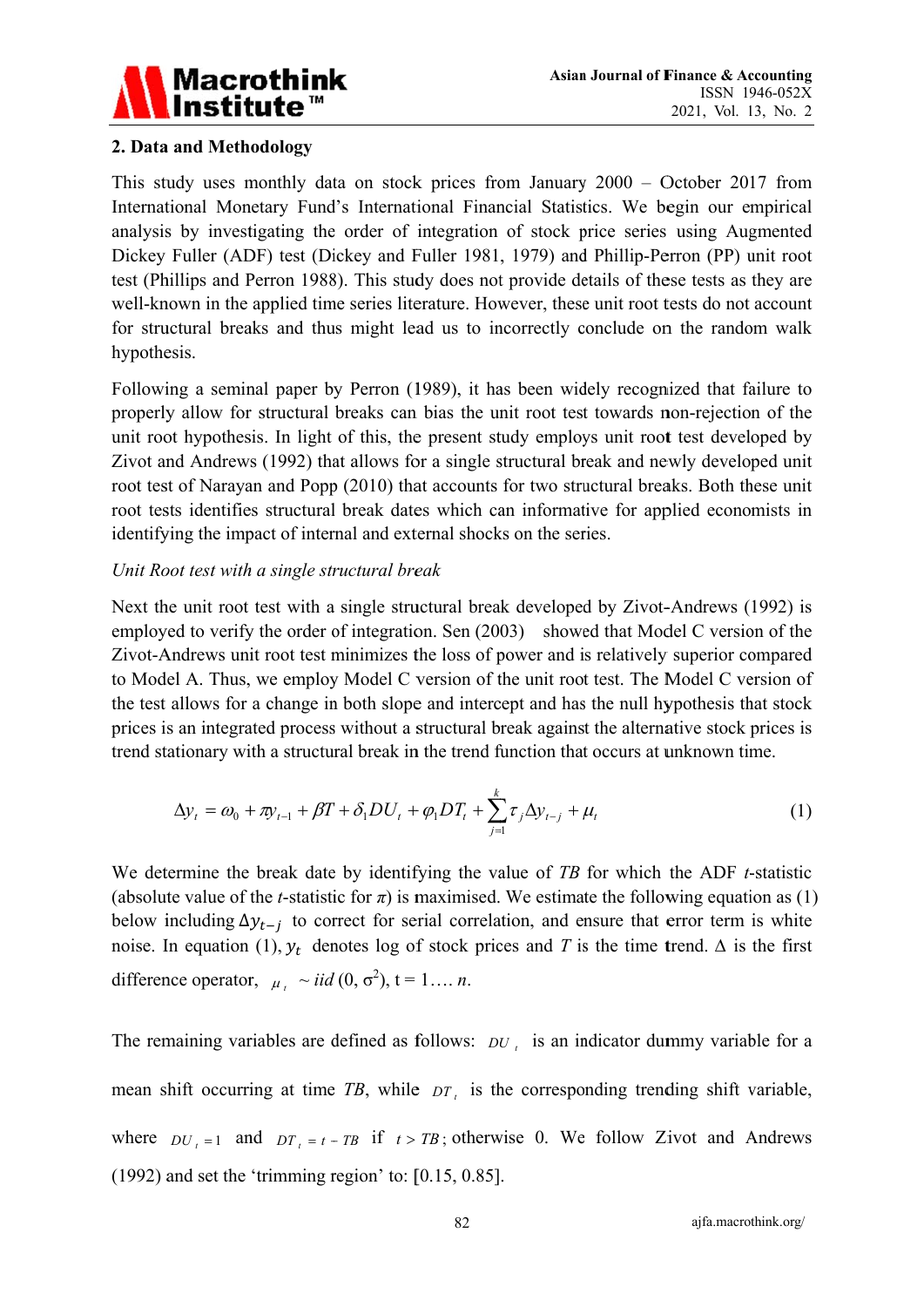

## 2. Data and Methodology

This study uses monthly data on stock prices from January  $2000 -$  October 2017 from International Monetary Fund's International Financial Statistics. We begin our empirical analysis by investigating the order of integration of stock price series using Augmented Dickey Fuller (ADF) test (Dickey and Fuller 1981, 1979) and Phillip-Perron (PP) unit root test (Phillips and Perron 1988). This study does not provide details of these tests as they are well-known in the applied time series literature. However, these unit root tests do not account for structural breaks and thus might lead us to incorrectly conclude on the random walk hypothesis.

Following a seminal paper by Perron (1989), it has been widely recognized that failure to properly allow for structural breaks can bias the unit root test towards non-rejection of the unit root hypothesis. In light of this, the present study employs unit root test developed by Zivot and Andrews (1992) that allows for a single structural break and newly developed unit root test of Narayan and Popp (2010) that accounts for two structural breaks. Both these unit root tests identifies structural break dates which can informative for applied economists in identifying the impact of internal and external shocks on the series.

## Unit Root test with a single structural break

Next the unit root test with a single structural break developed by Zivot-Andrews (1992) is employed to verify the order of integration. Sen (2003) showed that Model C version of the Zivot-Andrews unit root test minimizes the loss of power and is relatively superior compared to Model A. Thus, we employ Model C version of the unit root test. The Model C version of the test allows for a change in both slope and intercept and has the null hypothesis that stock prices is an integrated process without a structural break against the alternative stock prices is trend stationary with a structural break in the trend function that occurs at unknown time.

$$
\Delta y_t = \omega_0 + \pi y_{t-1} + \beta T + \delta_1 D U_t + \varphi_1 D T_t + \sum_{j=1}^k \tau_j \Delta y_{t-j} + \mu_t
$$
\n(1)

We determine the break date by identifying the value of TB for which the ADF t-statistic (absolute value of the *t*-statistic for  $\pi$ ) is maximised. We estimate the following equation as (1) below including  $\Delta y_{t-i}$  to correct for serial correlation, and ensure that error term is white noise. In equation (1),  $y_t$  denotes log of stock prices and T is the time trend.  $\Delta$  is the first difference operator,  $\mu_i \sim i i d (0, \sigma^2)$ ,  $t = 1... n$ .

The remaining variables are defined as follows:  $DU$ , is an indicator dummy variable for a mean shift occurring at time  $TB$ , while  $DT<sub>i</sub>$  is the corresponding trending shift variable, where  $DU_{t=1}$  and  $DT_{t=t-TB}$  if  $t > TB$ ; otherwise 0. We follow Zivot and Andrews  $(1992)$  and set the 'trimming region' to: [0.15, 0.85].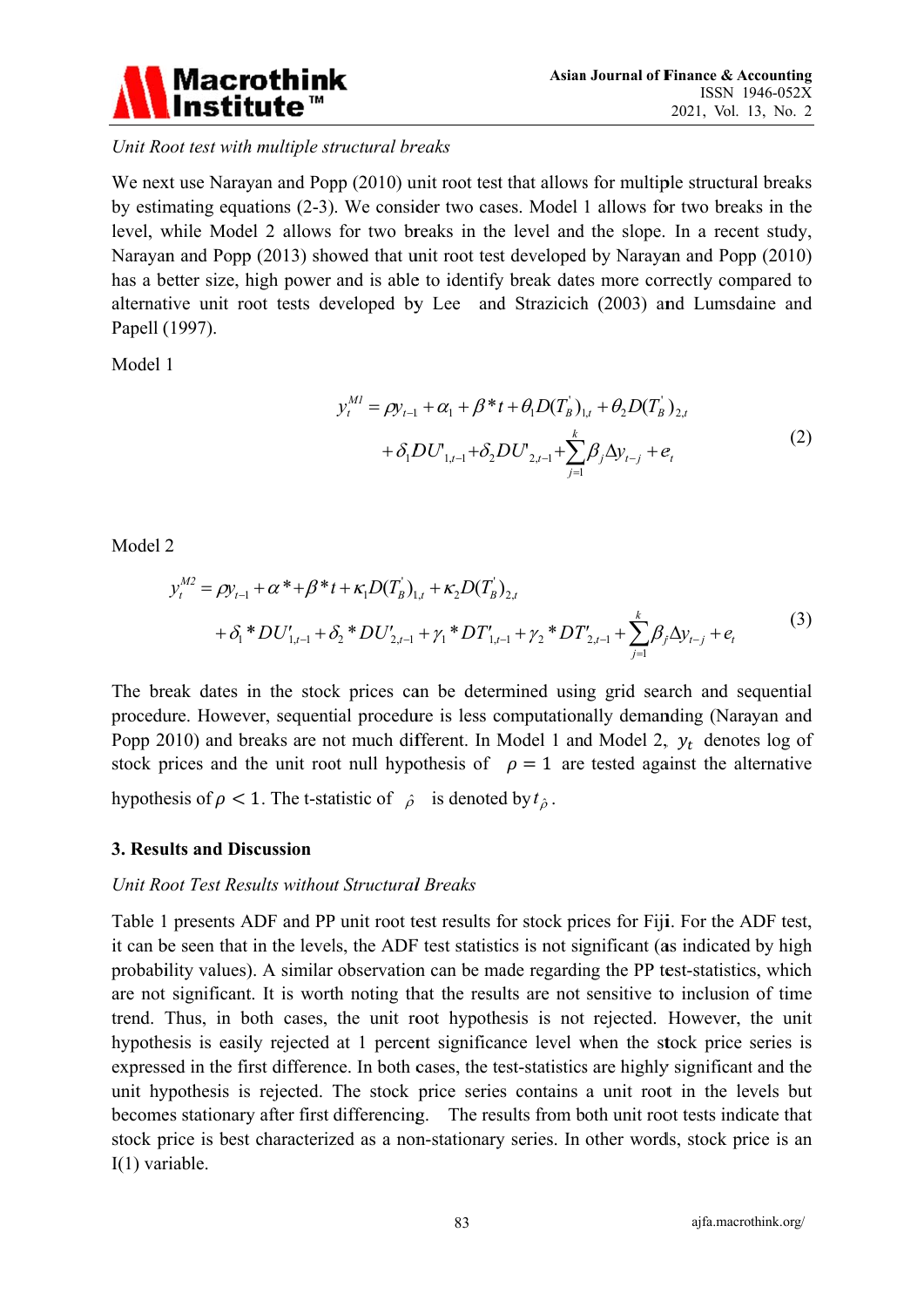

Unit Root test with multiple structural breaks

We next use Narayan and Popp (2010) unit root test that allows for multiple structural breaks by estimating equations (2-3). We consider two cases. Model 1 allows for two breaks in the level, while Model 2 allows for two breaks in the level and the slope. In a recent study, Narayan and Popp (2013) showed that unit root test developed by Narayan and Popp (2010) has a better size, high power and is able to identify break dates more correctly compared to alternative unit root tests developed by Lee and Strazicich (2003) and Lumsdaine and Papell (1997).

Model 1

$$
y_t^{MI} = \rho y_{t-1} + \alpha_1 + \beta^* t + \theta_1 D(T_B)_{1,t} + \theta_2 D(T_B)_{2,t}
$$
  
+  $\delta_1 D U_{1,t-1} + \delta_2 D U_{2,t-1} + \sum_{i=1}^k \beta_i \Delta y_{t-j} + e_t$  (2)

Model 2

$$
y_t^{M2} = \rho y_{t-1} + \alpha^* + \beta^* t + \kappa_1 D(T_B)_{1,t} + \kappa_2 D(T_B)_{2,t}
$$
  
+  $\delta_1^* D U'_{1,t-1} + \delta_2^* D U'_{2,t-1} + \gamma_1^* D T'_{1,t-1} + \gamma_2^* D T'_{2,t-1} + \sum_{j=1}^k \beta_j \Delta y_{t-j} + e_t$  (3)

The break dates in the stock prices can be determined using grid search and sequential procedure. However, sequential procedure is less computationally demanding (Narayan and Popp 2010) and breaks are not much different. In Model 1 and Model 2,  $y_t$  denotes log of stock prices and the unit root null hypothesis of  $\rho = 1$  are tested against the alternative hypothesis of  $\rho < 1$ . The t-statistic of  $\hat{\rho}$  is denoted by  $t_{\hat{\rho}}$ .

## 3. Results and Discussion

#### Unit Root Test Results without Structural Breaks

Table 1 presents ADF and PP unit root test results for stock prices for Fiji. For the ADF test, it can be seen that in the levels, the ADF test statistics is not significant (as indicated by high probability values). A similar observation can be made regarding the PP test-statistics, which are not significant. It is worth noting that the results are not sensitive to inclusion of time trend. Thus, in both cases, the unit root hypothesis is not rejected. However, the unit hypothesis is easily rejected at 1 percent significance level when the stock price series is expressed in the first difference. In both cases, the test-statistics are highly significant and the unit hypothesis is rejected. The stock price series contains a unit root in the levels but becomes stationary after first differencing. The results from both unit root tests indicate that stock price is best characterized as a non-stationary series. In other words, stock price is an  $I(1)$  variable.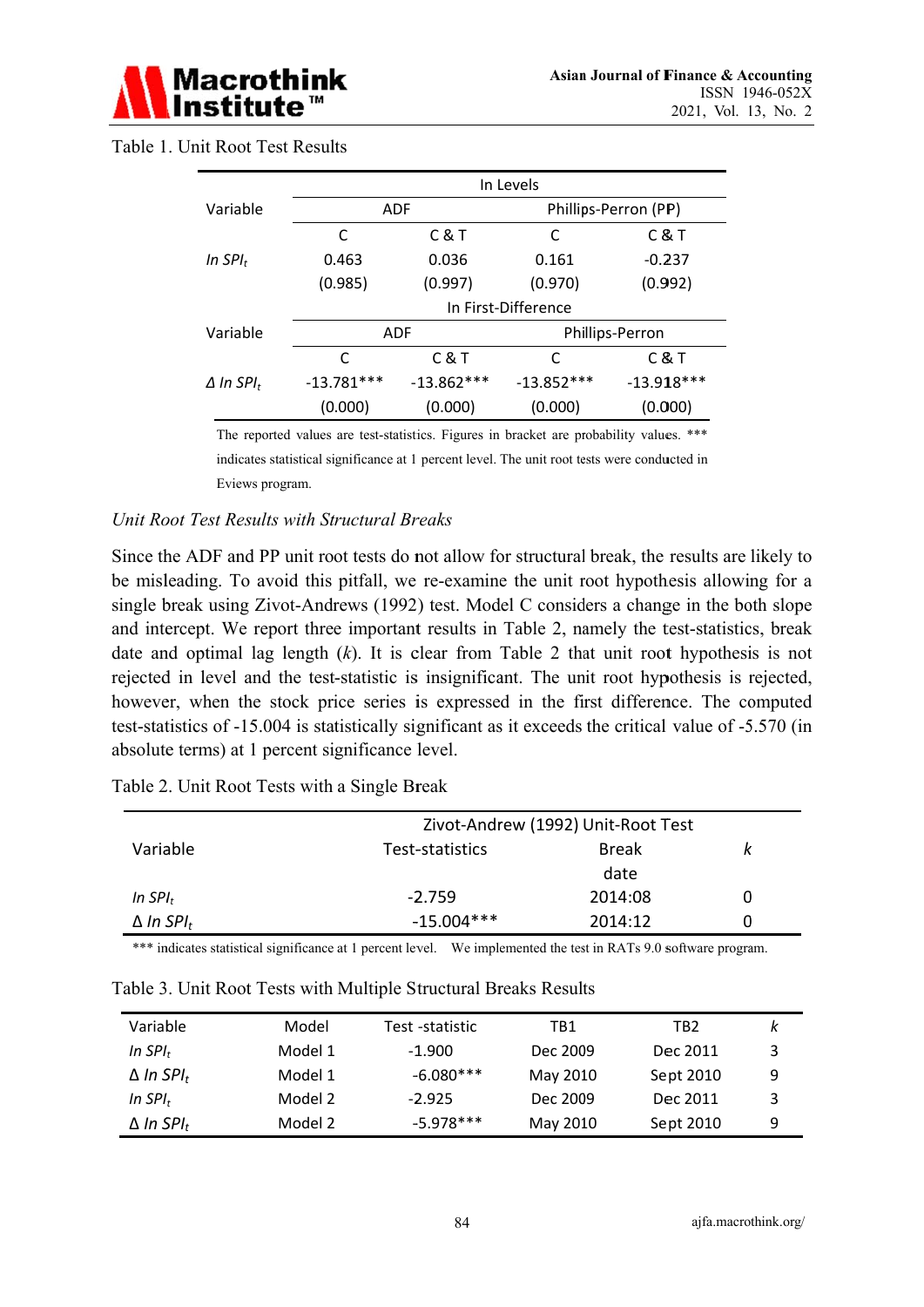

|                      | In Levels           |              |                      |              |  |
|----------------------|---------------------|--------------|----------------------|--------------|--|
| Variable             |                     | <b>ADF</b>   | Phillips-Perron (PP) |              |  |
|                      | C                   | C&T          | C                    | C&T          |  |
| In SPI $_t$          | 0.463               | 0.036        | 0.161                | $-0.237$     |  |
|                      | (0.985)             | (0.997)      | (0.970)              | (0.992)      |  |
|                      | In First-Difference |              |                      |              |  |
| Variable             | <b>ADF</b>          |              | Phillips-Perron      |              |  |
|                      | C                   | C&T          | C                    | C&T          |  |
| $\Delta$ In SPI $_t$ | $-13.781***$        | $-13.862***$ | $-13.852***$         | $-13.918***$ |  |
|                      | (0.000)             | (0.000)      | (0.000)              | (0.000)      |  |

Table 1. Unit Root Test Results

The reported values are test-statistics. Figures in bracket are probability values. \*\*\*

indicates statistical significance at 1 percent level. The unit root tests were conducted in Eviews program.

#### Unit Root Test Results with Structural Breaks

Since the ADF and PP unit root tests do not allow for structural break, the results are likely to be misleading. To avoid this pitfall, we re-examine the unit root hypothesis allowing for a single break using Zivot-Andrews (1992) test. Model C considers a change in the both slope and intercept. We report three important results in Table 2, namely the test-statistics, break date and optimal lag length  $(k)$ . It is clear from Table 2 that unit root hypothesis is not rejected in level and the test-statistic is insignificant. The unit root hypothesis is rejected, however, when the stock price series is expressed in the first difference. The computed test-statistics of -15.004 is statistically significant as it exceeds the critical value of -5.570 (in absolute terms) at 1 percent significance level.

| Table 2. Unit Root Tests with a Single Break |
|----------------------------------------------|
|----------------------------------------------|

|                              | Zivot-Andrew (1992) Unit-Root Test |              |   |  |
|------------------------------|------------------------------------|--------------|---|--|
| Variable                     | Test-statistics                    | <b>Break</b> | ĸ |  |
|                              |                                    | date         |   |  |
| In $SPI_t$                   | $-2.759$                           | 2014:08      |   |  |
| $\Delta$ In SPI <sub>t</sub> | $-15.004***$                       | 2014:12      |   |  |

\*\*\* indicates statistical significance at 1 percent level. We implemented the test in RATs 9.0 software program.

| Variable                     | Model   | Test -statistic | TB1      | TB <sub>2</sub> | k |
|------------------------------|---------|-----------------|----------|-----------------|---|
| In $SPI_t$                   | Model 1 | $-1.900$        | Dec 2009 | Dec 2011        | 3 |
| $\Delta$ In SPI <sub>t</sub> | Model 1 | $-6.080***$     | May 2010 | Sept 2010       | 9 |
| In $SPI_t$                   | Model 2 | $-2.925$        | Dec 2009 | Dec 2011        | 3 |
| $\Delta$ In SPI <sub>t</sub> | Model 2 | $-5.978***$     | May 2010 | Sept 2010       | 9 |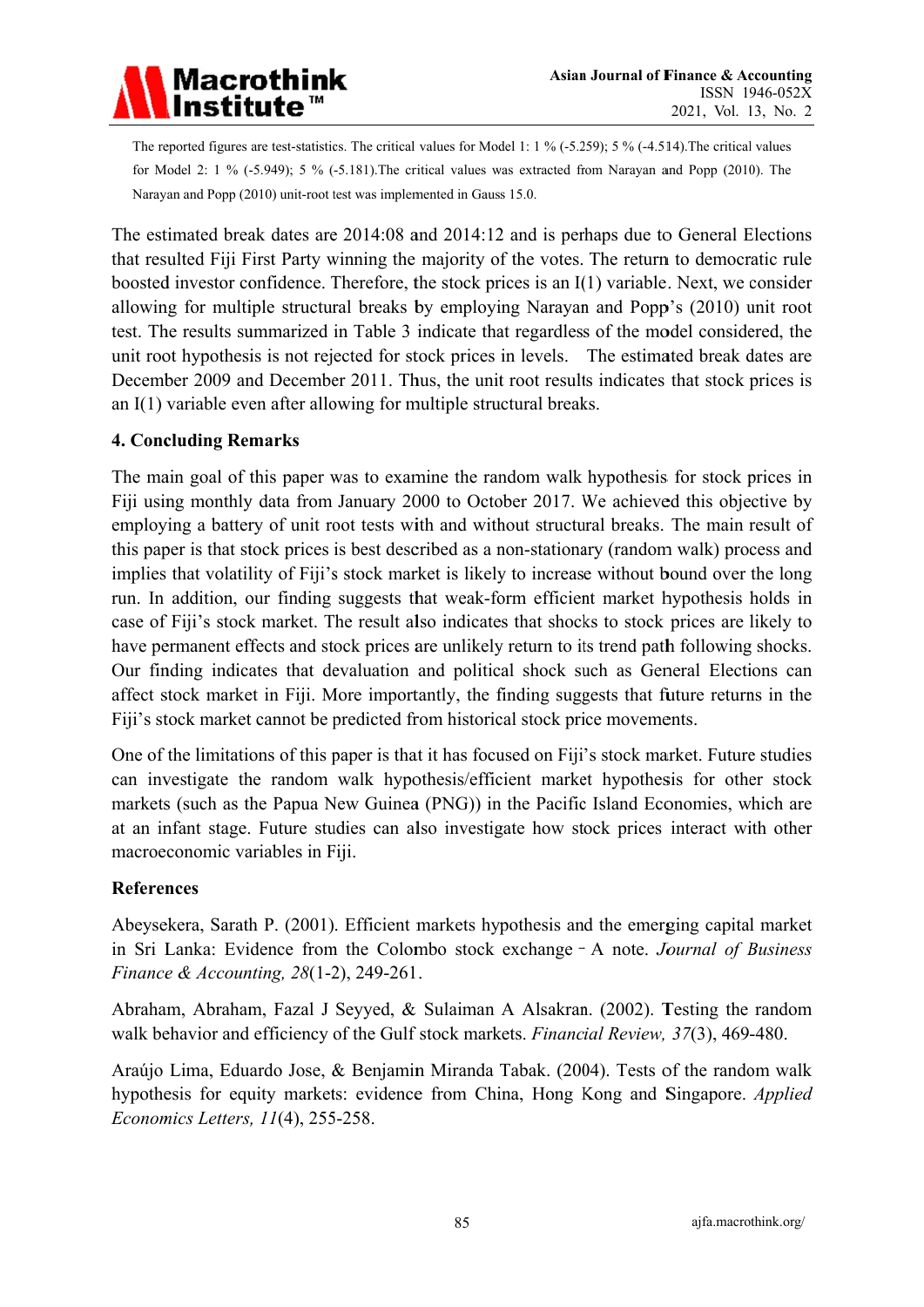

The reported figures are test-statistics. The critical values for Model 1: 1 % (-5.259); 5 % (-4.514). The critical values for Model 2:  $1\%$  (-5.949);  $5\%$  (-5.181). The critical values was extracted from Narayan and Popp (2010). The Narayan and Popp (2010) unit-root test was implemented in Gauss 15.0.

The estimated break dates are 2014:08 and 2014:12 and is perhaps due to General Elections that resulted Fiji First Party winning the majority of the votes. The return to democratic rule boosted investor confidence. Therefore, the stock prices is an I(1) variable. Next, we consider allowing for multiple structural breaks by employing Narayan and Popp's (2010) unit root test. The results summarized in Table 3 indicate that regardless of the model considered, the unit root hypothesis is not rejected for stock prices in levels. The estimated break dates are December 2009 and December 2011. Thus, the unit root results indicates that stock prices is an  $I(1)$  variable even after allowing for multiple structural breaks.

## **4. Concluding Remarks**

The main goal of this paper was to examine the random walk hypothesis for stock prices in Fiji using monthly data from January 2000 to October 2017. We achieved this objective by employing a battery of unit root tests with and without structural breaks. The main result of this paper is that stock prices is best described as a non-stationary (random walk) process and implies that volatility of Fiji's stock market is likely to increase without bound over the long run. In addition, our finding suggests that weak-form efficient market hypothesis holds in case of Fiji's stock market. The result also indicates that shocks to stock prices are likely to have permanent effects and stock prices are unlikely return to its trend path following shocks. Our finding indicates that devaluation and political shock such as General Elections can affect stock market in Fiji. More importantly, the finding suggests that future returns in the Fiji's stock market cannot be predicted from historical stock price movements.

One of the limitations of this paper is that it has focused on Fiji's stock market. Future studies can investigate the random walk hypothesis/efficient market hypothesis for other stock markets (such as the Papua New Guinea (PNG)) in the Pacific Island Economies, which are at an infant stage. Future studies can also investigate how stock prices interact with other macroeconomic variables in Fiji.

#### **References**

Abeysekera, Sarath P. (2001). Efficient markets hypothesis and the emerging capital market in Sri Lanka: Evidence from the Colombo stock exchange - A note. Journal of Business Finance & Accounting, 28(1-2), 249-261.

Abraham, Abraham, Fazal J Seyyed, & Sulaiman A Alsakran. (2002). Testing the random walk behavior and efficiency of the Gulf stock markets. Financial Review, 37(3), 469-480.

Araújo Lima, Eduardo Jose, & Benjamin Miranda Tabak. (2004). Tests of the random walk hypothesis for equity markets: evidence from China, Hong Kong and Singapore. Applied Economics Letters, 11(4), 255-258.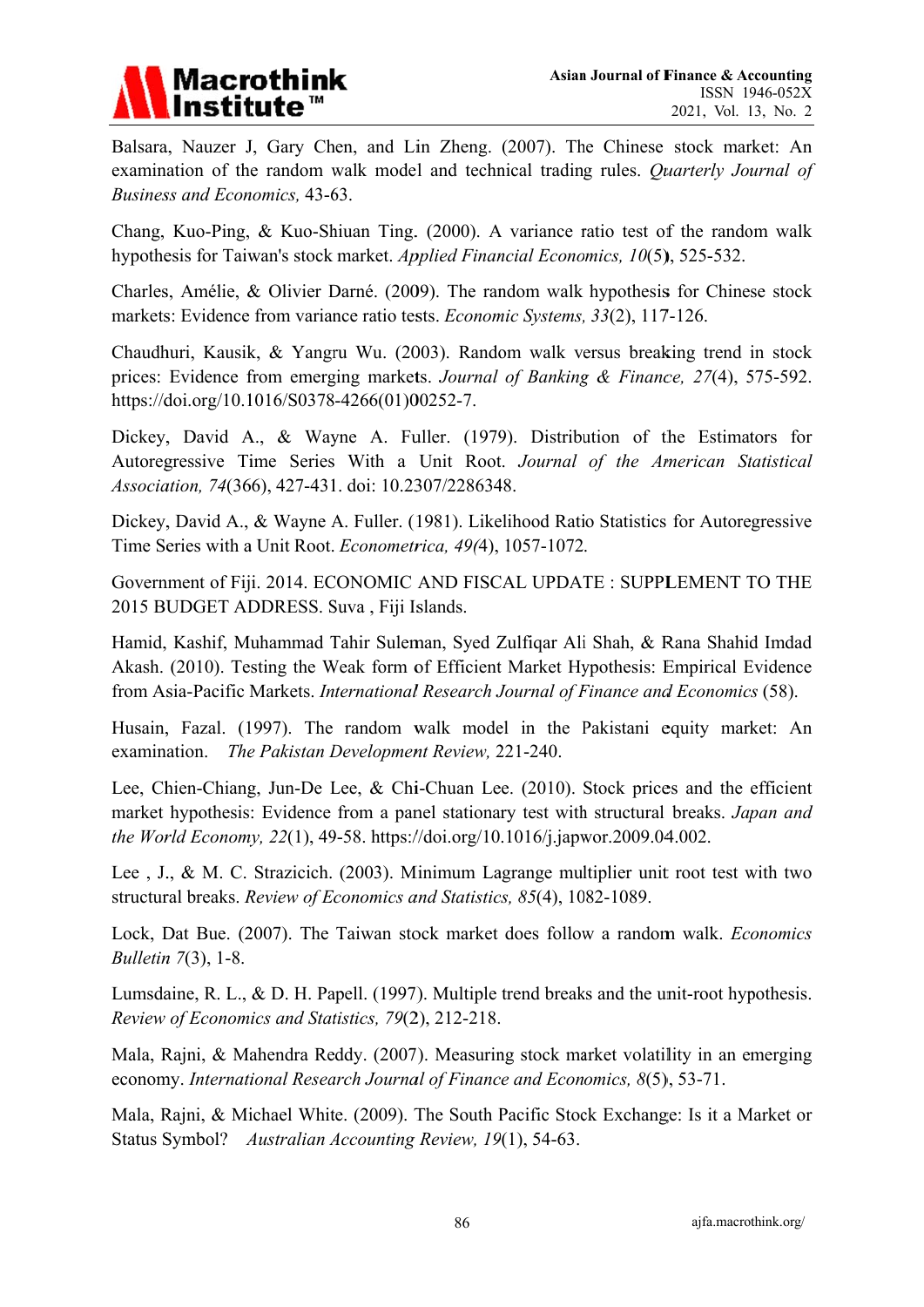

Balsara, Nauzer J, Gary Chen, and Lin Zheng. (2007). The Chinese stock market: An examination of the random walk model and technical trading rules. Quarterly Journal of Business and Economics, 43-63.

Chang, Kuo-Ping, & Kuo-Shiuan Ting. (2000). A variance ratio test of the random walk hypothesis for Taiwan's stock market. Applied Financial Economics, 10(5), 525-532.

Charles, Amélie, & Olivier Darné. (2009). The random walk hypothesis for Chinese stock markets: Evidence from variance ratio tests. *Economic Systems*, 33(2), 117-126.

Chaudhuri, Kausik, & Yangru Wu. (2003). Random walk versus breaking trend in stock prices: Evidence from emerging markets. Journal of Banking & Finance, 27(4), 575-592. https://doi.org/10.1016/S0378-4266(01)00252-7.

Dickey, David A., & Wayne A. Fuller. (1979). Distribution of the Estimators for Autoregressive Time Series With a Unit Root. Journal of the American Statistical Association, 74(366), 427-431, doi: 10.2307/2286348.

Dickey, David A., & Wayne A. Fuller. (1981). Likelihood Ratio Statistics for Autoregressive Time Series with a Unit Root. Econometrica, 49(4), 1057-1072.

Government of Fiji. 2014. ECONOMIC AND FISCAL UPDATE: SUPPLEMENT TO THE 2015 BUDGET ADDRESS. Suva, Fiji Islands.

Hamid, Kashif, Muhammad Tahir Suleman, Syed Zulfiqar Ali Shah, & Rana Shahid Imdad Akash. (2010). Testing the Weak form of Efficient Market Hypothesis: Empirical Evidence from Asia-Pacific Markets. International Research Journal of Finance and Economics (58).

Husain, Fazal. (1997). The random walk model in the Pakistani equity market: An examination. The Pakistan Development Review, 221-240.

Lee, Chien-Chiang, Jun-De Lee, & Chi-Chuan Lee. (2010). Stock prices and the efficient market hypothesis: Evidence from a panel stationary test with structural breaks. Japan and the World Economy, 22(1), 49-58. https://doi.org/10.1016/j.japwor.2009.04.002.

Lee, J., & M. C. Strazicich. (2003). Minimum Lagrange multiplier unit root test with two structural breaks. Review of Economics and Statistics, 85(4), 1082-1089.

Lock, Dat Bue. (2007). The Taiwan stock market does follow a random walk. Economics *Bulletin* 7(3), 1-8.

Lumsdaine, R. L., & D. H. Papell, (1997). Multiple trend breaks and the unit-root hypothesis. Review of Economics and Statistics, 79(2), 212-218.

Mala, Rajni, & Mahendra Reddy. (2007). Measuring stock market volatility in an emerging economy. International Research Journal of Finance and Economics, 8(5), 53-71.

Mala, Rajni, & Michael White. (2009). The South Pacific Stock Exchange: Is it a Market or Status Symbol? Australian Accounting Review, 19(1), 54-63.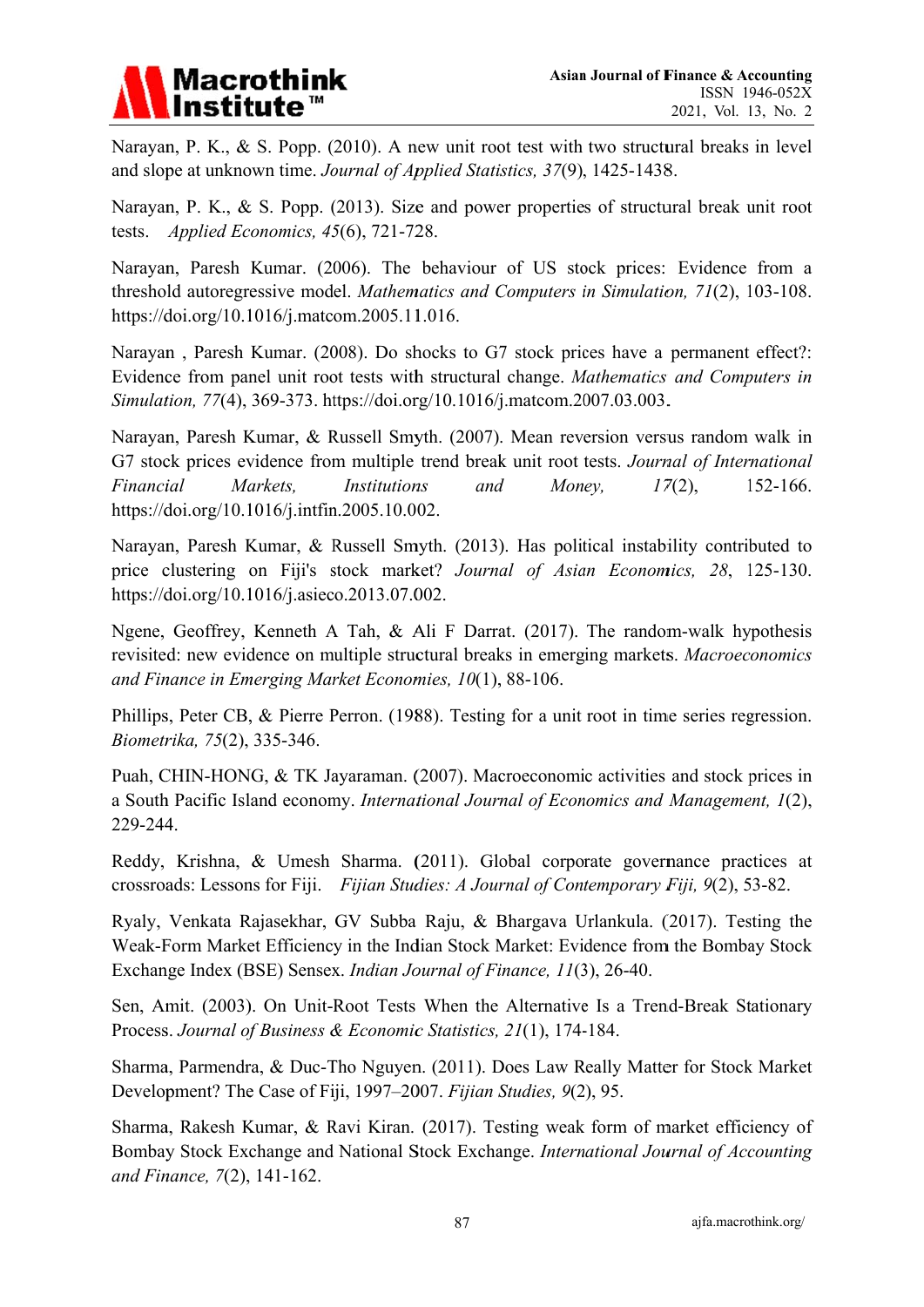

Narayan, P. K., & S. Popp. (2010). A new unit root test with two structural breaks in level and slope at unknown time. *Journal of Applied Statistics*, 37(9), 1425-1438.

Narayan, P. K., & S. Popp. (2013). Size and power properties of structural break unit root tests. *Applied Ec onomics, 45 5*(6), 721-72 28.

Narayan, Paresh Kumar. (2006). The behaviour of US stock prices: Evidence from a threshold autoregressive model. Mathematics and Computers in Simulation, 71(2), 103-108. https://doi.org/10.1016/j.matcom.2005.11.016.

Narayan, Paresh Kumar. (2008). Do shocks to G7 stock prices have a permanent effect?: Evidence from panel unit root tests with structural change. Mathematics and Computers in Simulation, 77(4), 369-373. https://doi.org/10.1016/j.matcom.2007.03.003.

Narayan, Paresh Kumar, & Russell Smyth. (2007). Mean reversion versus random walk in G7 stock prices evidence from multiple trend break unit root tests. *Journal of International Financi* https://doi.org/10.1016/j.intfin.2005.10.002. *ial Markets*, *Institution ns and d Mon ey, 17*  $17(2)$ , 152-166.

Narayan, Paresh Kumar, & Russell Smyth. (2013). Has political instability contributed to price clustering on Fiji's stock market? Journal of Asian Economics, 28, 125-130. https://doi.org/10.1016/j.asieco.2013.07.002.

Ngene, Geoffrey, Kenneth A Tah, & Ali F Darrat. (2017). The random-walk hypothesis revisited: new evidence on multiple structural breaks in emerging markets. Macroeconomics and Finance in Emerging Market Economies, 10(1), 88-106.

Phillips, Peter CB, & Pierre Perron. (1988). Testing for a unit root in time series regression. *Biometr rika, 75*(2), 335-346.

Puah, CHIN-HONG, & TK Jayaraman. (2007). Macroeconomic activities and stock prices in a South Pacific Island economy. *International Journal of Economics and Management, 1(2),* 229-244 4.

Reddy, Krishna, & Umesh Sharma. (2011). Global corporate governance practices at crossroads: Lessons for Fiji. *Fijian Studies: A Journal of Contemporary Fiji, 9(2), 53-82.* 

Ryaly, Venkata Rajasekhar, GV Subba Raju, & Bhargava Urlankula. (2017). Testing the Weak-Form Market Efficiency in the Indian Stock Market: Evidence from the Bombay Stock Exchange Index (BSE) Sensex. *Indian Journal of Finance*, 11(3), 26-40.

Sen, Amit. (2003). On Unit-Root Tests When the Alternative Is a Trend-Break Stationary Process. *Journal of Business & Economic Statistics, 21(1), 174-184.* 

Sharma, Parmendra, & Duc-Tho Nguyen. (2011). Does Law Really Matter for Stock Market Development? The Case of Fiji, 1997–2007. Fijian Studies, 9(2), 95.

Sharma, Rakesh Kumar, & Ravi Kiran. (2017). Testing weak form of market efficiency of Bombay Stock Exchange and National Stock Exchange. International Journal of Accounting *and Fin nance, 7*(2), 141-162.